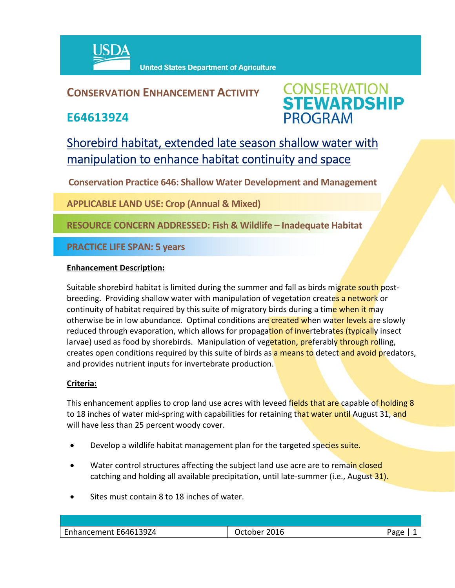

### **CONSERVATION ENHANCEMENT ACTIVITY**

**E646139Z4**



## Shorebird habitat, extended late season shallow water with manipulation to enhance habitat continuity and space

**Conservation Practice 646: Shallow Water Development and Management**

**APPLICABLE LAND USE: Crop (Annual & Mixed)**

**RESOURCE CONCERN ADDRESSED: Fish & Wildlife – Inadequate Habitat**

**PRACTICE LIFE SPAN: 5 years**

#### **Enhancement Description:**

Suitable shorebird habitat is limited during the summer and fall as birds migrate south postbreeding. Providing shallow water with manipulation of vegetation creates a network or continuity of habitat required by this suite of migratory birds during a time when it may otherwise be in low abundance. Optimal conditions are created when water levels are slowly reduced through evaporation, which allows for propagation of invertebrates (typically insect larvae) used as food by shorebirds. Manipulation of vegetation, preferably through rolling, creates open conditions required by this suite of birds as a means to detect and avoid predators, and provides nutrient inputs for invertebrate production.

#### **Criteria:**

This enhancement applies to crop land use acres with leveed fields that are capable of holding 8 to 18 inches of water mid-spring with capabilities for retaining that water until August 31, and will have less than 25 percent woody cover.

- **•** Develop a wildlife habitat management plan for the targeted species suite.
- Water control structures affecting the subject land use acre are to remain closed catching and holding all available precipitation, until late-summer (i.e., August 31).
- Sites must contain 8 to 18 inches of water.

| Enhancement E646139Z4 | October 2016 | Page |
|-----------------------|--------------|------|